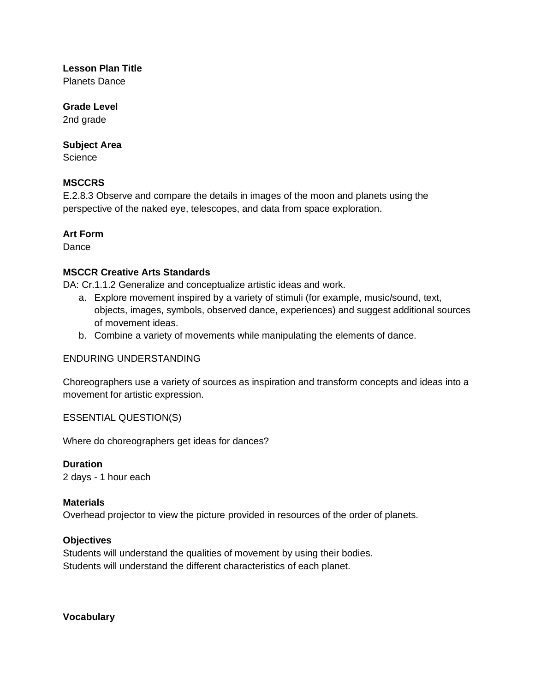## **Lesson Plan Title**

Planets Dance

## **Grade Level**

2nd grade

## **Subject Area**

**Science** 

## **MSCCRS**

E.2.8.3 Observe and compare the details in images of the moon and planets using the perspective of the naked eye, telescopes, and data from space exploration.

## **Art Form**

Dance

## **MSCCR Creative Arts Standards**

DA: Cr.1.1.2 Generalize and conceptualize artistic ideas and work.

- a. Explore movement inspired by a variety of stimuli (for example, music/sound, text, objects, images, symbols, observed dance, experiences) and suggest additional sources of movement ideas.
- b. Combine a variety of movements while manipulating the elements of dance.

#### ENDURING UNDERSTANDING

Choreographers use a variety of sources as inspiration and transform concepts and ideas into a movement for artistic expression.

ESSENTIAL QUESTION(S)

Where do choreographers get ideas for dances?

**Duration** 2 days - 1 hour each

#### **Materials**

Overhead projector to view the picture provided in resources of the order of planets.

#### **Objectives**

Students will understand the qualities of movement by using their bodies. Students will understand the different characteristics of each planet.

**Vocabulary**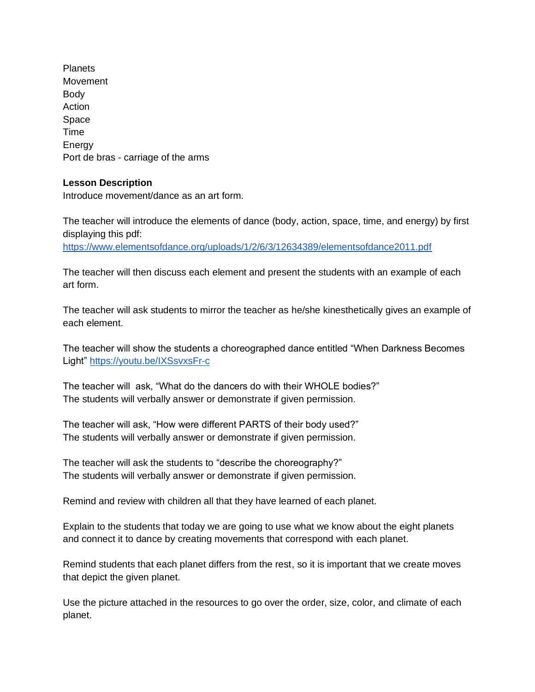Planets Movement Body **Action** Space Time **Energy** Port de bras - carriage of the arms

#### **Lesson Description**

Introduce movement/dance as an art form.

The teacher will introduce the elements of dance (body, action, space, time, and energy) by first displaying this pdf:

<https://www.elementsofdance.org/uploads/1/2/6/3/12634389/elementsofdance2011.pdf>

The teacher will then discuss each element and present the students with an example of each art form.

The teacher will ask students to mirror the teacher as he/she kinesthetically gives an example of each element.

The teacher will show the students a choreographed dance entitled "When Darkness Becomes Light"<https://youtu.be/IXSsvxsFr-c>

The teacher will ask, "What do the dancers do with their WHOLE bodies?" The students will verbally answer or demonstrate if given permission.

The teacher will ask, "How were different PARTS of their body used?" The students will verbally answer or demonstrate if given permission.

The teacher will ask the students to "describe the choreography?" The students will verbally answer or demonstrate if given permission.

Remind and review with children all that they have learned of each planet.

Explain to the students that today we are going to use what we know about the eight planets and connect it to dance by creating movements that correspond with each planet.

Remind students that each planet differs from the rest, so it is important that we create moves that depict the given planet.

Use the picture attached in the resources to go over the order, size, color, and climate of each planet.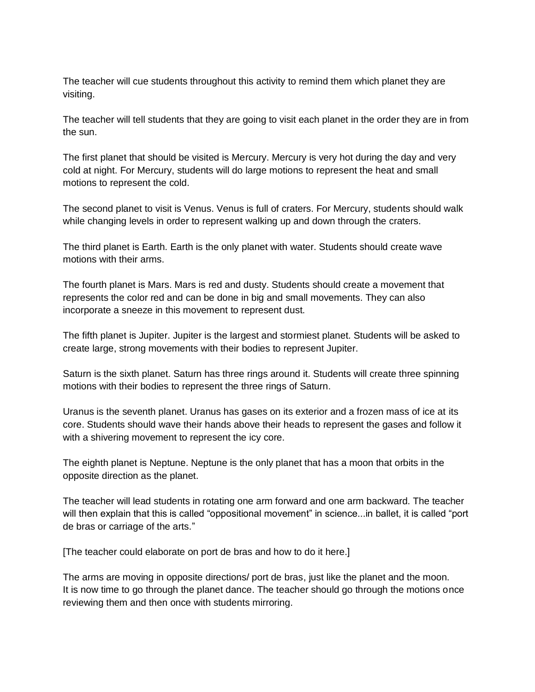The teacher will cue students throughout this activity to remind them which planet they are visiting.

The teacher will tell students that they are going to visit each planet in the order they are in from the sun.

The first planet that should be visited is Mercury. Mercury is very hot during the day and very cold at night. For Mercury, students will do large motions to represent the heat and small motions to represent the cold.

The second planet to visit is Venus. Venus is full of craters. For Mercury, students should walk while changing levels in order to represent walking up and down through the craters.

The third planet is Earth. Earth is the only planet with water. Students should create wave motions with their arms.

The fourth planet is Mars. Mars is red and dusty. Students should create a movement that represents the color red and can be done in big and small movements. They can also incorporate a sneeze in this movement to represent dust.

The fifth planet is Jupiter. Jupiter is the largest and stormiest planet. Students will be asked to create large, strong movements with their bodies to represent Jupiter.

Saturn is the sixth planet. Saturn has three rings around it. Students will create three spinning motions with their bodies to represent the three rings of Saturn.

Uranus is the seventh planet. Uranus has gases on its exterior and a frozen mass of ice at its core. Students should wave their hands above their heads to represent the gases and follow it with a shivering movement to represent the icy core.

The eighth planet is Neptune. Neptune is the only planet that has a moon that orbits in the opposite direction as the planet.

The teacher will lead students in rotating one arm forward and one arm backward. The teacher will then explain that this is called "oppositional movement" in science...in ballet, it is called "port de bras or carriage of the arts."

[The teacher could elaborate on port de bras and how to do it here.]

The arms are moving in opposite directions/ port de bras, just like the planet and the moon. It is now time to go through the planet dance. The teacher should go through the motions once reviewing them and then once with students mirroring.